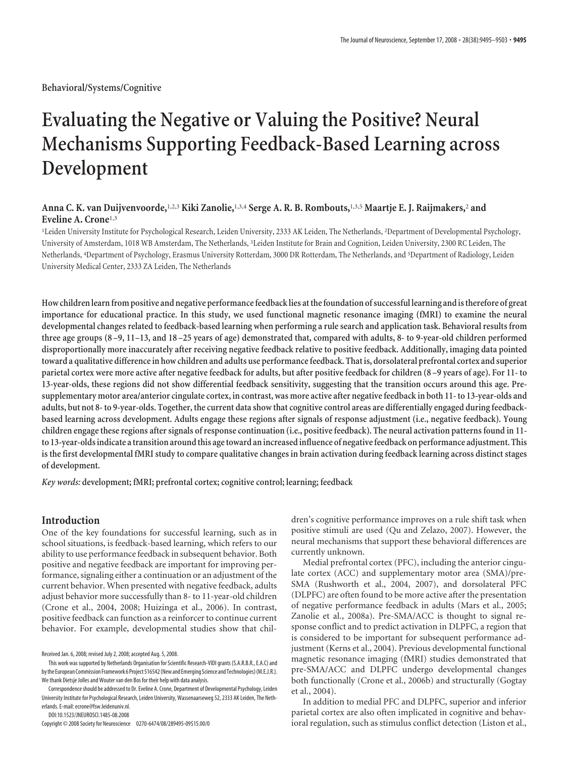**Behavioral/Systems/Cognitive**

# **Evaluating the Negative or Valuing the Positive? Neural Mechanisms Supporting Feedback-Based Learning across Development**

# **Anna C. K. van Duijvenvoorde,**1,2,3 **Kiki Zanolie,**1,3,4 **Serge A. R. B. Rombouts,**1,3,5 **Maartje E. J. Raijmakers,**<sup>2</sup> **and Eveline A. Crone**1,3

<sup>1</sup>Leiden University Institute for Psychological Research, Leiden University, 2333 AK Leiden, The Netherlands, <sup>2</sup>Department of Developmental Psychology, University of Amsterdam, 1018 WB Amsterdam, The Netherlands, <sup>3</sup>Leiden Institute for Brain and Cognition, Leiden University, 2300 RC Leiden, The Netherlands, <sup>4</sup>Department of Psychology, Erasmus University Rotterdam, 3000 DR Rotterdam, The Netherlands, and <sup>5</sup>Department of Radiology, Leiden University Medical Center, 2333 ZA Leiden, The Netherlands

How children learn from positive and negative performance feedback lies at the foundation of successful learning and is therefore of great **importance for educational practice. In this study, we used functional magnetic resonance imaging (fMRI) to examine the neural developmental changes related to feedback-based learning when performing a rule search and application task. Behavioral results from three age groups (8 –9, 11–13, and 18 –25 years of age) demonstrated that, compared with adults, 8- to 9-year-old children performed disproportionally more inaccurately after receiving negative feedback relative to positive feedback. Additionally, imaging data pointed toward a qualitative difference in how children and adults use performance feedback. That is, dorsolateral prefrontal cortex and superior parietal cortex were more active after negative feedback for adults, but after positive feedback for children (8 –9 years of age). For 11- to 13-year-olds, these regions did not show differential feedback sensitivity, suggesting that the transition occurs around this age. Presupplementary motor area/anterior cingulate cortex, in contrast, was more active after negative feedback in both 11- to 13-year-olds and adults, but not 8- to 9-year-olds. Together, the current data show that cognitive control areas are differentially engaged during feedbackbased learning across development. Adults engage these regions after signals of response adjustment (i.e., negative feedback). Young children engage these regions after signals of response continuation (i.e., positive feedback). The neural activation patterns found in 11** to 13-year-olds indicate a transition around this age toward an increased influence of negative feedback on performance adjustment. This **is the first developmental fMRI study to compare qualitative changes in brain activation during feedback learning across distinct stages of development.**

*Key words:* **development; fMRI; prefrontal cortex; cognitive control; learning; feedback**

# **Introduction**

One of the key foundations for successful learning, such as in school situations, is feedback-based learning, which refers to our ability to use performance feedback in subsequent behavior. Both positive and negative feedback are important for improving performance, signaling either a continuation or an adjustment of the current behavior. When presented with negative feedback, adults adjust behavior more successfully than 8- to 11-year-old children (Crone et al., 2004, 2008; Huizinga et al., 2006). In contrast, positive feedback can function as a reinforcer to continue current behavior. For example, developmental studies show that chil-

DOI:10.1523/JNEUROSCI.1485-08.2008

Copyright © 2008 Society for Neuroscience 0270-6474/08/289495-09\$15.00/0

dren's cognitive performance improves on a rule shift task when positive stimuli are used (Qu and Zelazo, 2007). However, the neural mechanisms that support these behavioral differences are currently unknown.

Medial prefrontal cortex (PFC), including the anterior cingulate cortex (ACC) and supplementary motor area (SMA)/pre-SMA (Rushworth et al., 2004, 2007), and dorsolateral PFC (DLPFC) are often found to be more active after the presentation of negative performance feedback in adults (Mars et al., 2005; Zanolie et al., 2008a). Pre-SMA/ACC is thought to signal response conflict and to predict activation in DLPFC, a region that is considered to be important for subsequent performance adjustment (Kerns et al., 2004). Previous developmental functional magnetic resonance imaging (fMRI) studies demonstrated that pre-SMA/ACC and DLPFC undergo developmental changes both functionally (Crone et al., 2006b) and structurally (Gogtay et al., 2004).

In addition to medial PFC and DLPFC, superior and inferior parietal cortex are also often implicated in cognitive and behavioral regulation, such as stimulus conflict detection (Liston et al.,

Received Jan. 6, 2008; revised July 2, 2008; accepted Aug. 5, 2008.

This work was supported by Netherlands Organisation for Scientific Research-VIDI grants (S.A.R.B.R., E.A.C) and bythe European Commission Framework 6 Project 516542(New and Emerging Science and Technologies)(M.E.J.R.). We thank Dietsje Jolles and Wouter van den Bos for their help with data analysis.

Correspondence should be addressed to Dr. Eveline A. Crone, Department of Developmental Psychology, Leiden University Institute for Psychological Research, Leiden University, Wassenaarseweg 52, 2333 AK Leiden, The Netherlands. E-mail: ecrone@fsw.leidenuniv.nl.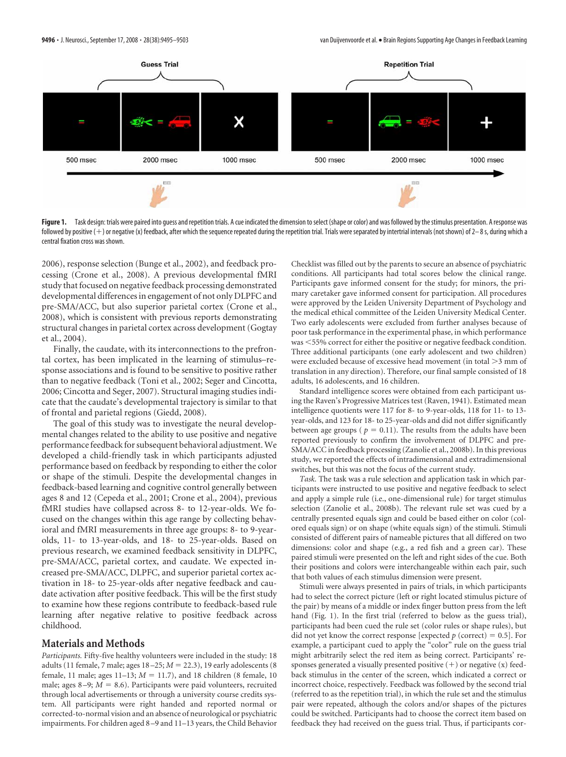

Figure 1. Task design: trials were paired into quess and repetition trials. A cue indicated the dimension to select (shape or color) and was followed by the stimulus presentation. A response was followed by positive (+) or negative (x) feedback, after which the sequence repeated during the repetition trial. Trials were separated by intertrial intervals (not shown) of 2–8 s, during which a central fixation cross was shown.

2006), response selection (Bunge et al., 2002), and feedback processing (Crone et al., 2008). A previous developmental fMRI study that focused on negative feedback processing demonstrated developmental differences in engagement of not only DLPFC and pre-SMA/ACC, but also superior parietal cortex (Crone et al., 2008), which is consistent with previous reports demonstrating structural changes in parietal cortex across development (Gogtay et al., 2004).

Finally, the caudate, with its interconnections to the prefrontal cortex, has been implicated in the learning of stimulus–response associations and is found to be sensitive to positive rather than to negative feedback (Toni et al., 2002; Seger and Cincotta, 2006; Cincotta and Seger, 2007). Structural imaging studies indicate that the caudate's developmental trajectory is similar to that of frontal and parietal regions (Giedd, 2008).

The goal of this study was to investigate the neural developmental changes related to the ability to use positive and negative performance feedback for subsequent behavioral adjustment.We developed a child-friendly task in which participants adjusted performance based on feedback by responding to either the color or shape of the stimuli. Despite the developmental changes in feedback-based learning and cognitive control generally between ages 8 and 12 (Cepeda et al., 2001; Crone et al., 2004), previous fMRI studies have collapsed across 8- to 12-year-olds. We focused on the changes within this age range by collecting behavioral and fMRI measurements in three age groups: 8- to 9-yearolds, 11- to 13-year-olds, and 18- to 25-year-olds. Based on previous research, we examined feedback sensitivity in DLPFC, pre-SMA/ACC, parietal cortex, and caudate. We expected increased pre-SMA/ACC, DLPFC, and superior parietal cortex activation in 18- to 25-year-olds after negative feedback and caudate activation after positive feedback. This will be the first study to examine how these regions contribute to feedback-based rule learning after negative relative to positive feedback across childhood.

# **Materials and Methods**

*Participants.* Fifty-five healthy volunteers were included in the study: 18 adults (11 female, 7 male; ages  $18-25$ ;  $M = 22.3$ ), 19 early adolescents (8 female, 11 male; ages  $11-13$ ;  $M = 11.7$ ), and 18 children (8 female, 10 male; ages 8-9;  $M = 8.6$ ). Participants were paid volunteers, recruited through local advertisements or through a university course credits system. All participants were right handed and reported normal or corrected-to-normal vision and an absence of neurological or psychiatric impairments. For children aged 8 –9 and 11–13 years, the Child Behavior

Checklist was filled out by the parents to secure an absence of psychiatric conditions. All participants had total scores below the clinical range. Participants gave informed consent for the study; for minors, the primary caretaker gave informed consent for participation. All procedures were approved by the Leiden University Department of Psychology and the medical ethical committee of the Leiden University Medical Center. Two early adolescents were excluded from further analyses because of poor task performance in the experimental phase, in which performance was <55% correct for either the positive or negative feedback condition. Three additional participants (one early adolescent and two children) were excluded because of excessive head movement (in total >3 mm of translation in any direction). Therefore, our final sample consisted of 18 adults, 16 adolescents, and 16 children.

Standard intelligence scores were obtained from each participant using the Raven's Progressive Matrices test (Raven, 1941). Estimated mean intelligence quotients were 117 for 8- to 9-year-olds, 118 for 11- to 13 year-olds, and 123 for 18- to 25-year-olds and did not differ significantly between age groups ( $p = 0.11$ ). The results from the adults have been reported previously to confirm the involvement of DLPFC and pre-SMA/ACC in feedback processing (Zanolie et al., 2008b). In this previous study, we reported the effects of intradimensional and extradimensional switches, but this was not the focus of the current study.

*Task.* The task was a rule selection and application task in which participants were instructed to use positive and negative feedback to select and apply a simple rule (i.e., one-dimensional rule) for target stimulus selection (Zanolie et al., 2008b). The relevant rule set was cued by a centrally presented equals sign and could be based either on color (colored equals sign) or on shape (white equals sign) of the stimuli. Stimuli consisted of different pairs of nameable pictures that all differed on two dimensions: color and shape (e.g., a red fish and a green car). These paired stimuli were presented on the left and right sides of the cue. Both their positions and colors were interchangeable within each pair, such that both values of each stimulus dimension were present.

Stimuli were always presented in pairs of trials, in which participants had to select the correct picture (left or right located stimulus picture of the pair) by means of a middle or index finger button press from the left hand (Fig. 1). In the first trial (referred to below as the guess trial), participants had been cued the rule set (color rules or shape rules), but did not yet know the correct response [expected  $p$  (correct) = 0.5]. For example, a participant cued to apply the "color" rule on the guess trial might arbitrarily select the red item as being correct. Participants' responses generated a visually presented positive  $(+)$  or negative  $(x)$  feedback stimulus in the center of the screen, which indicated a correct or incorrect choice, respectively. Feedback was followed by the second trial (referred to as the repetition trial), in which the rule set and the stimulus pair were repeated, although the colors and/or shapes of the pictures could be switched. Participants had to choose the correct item based on feedback they had received on the guess trial. Thus, if participants cor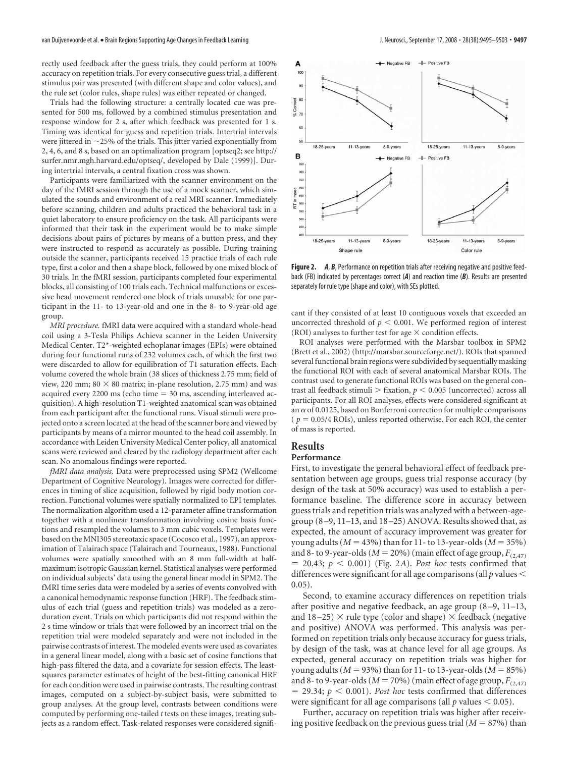rectly used feedback after the guess trials, they could perform at 100% accuracy on repetition trials. For every consecutive guess trial, a different stimulus pair was presented (with different shape and color values), and the rule set (color rules, shape rules) was either repeated or changed.

Trials had the following structure: a centrally located cue was presented for 500 ms, followed by a combined stimulus presentation and response window for 2 s, after which feedback was presented for 1 s. Timing was identical for guess and repetition trials. Intertrial intervals were jittered in  $\sim$  25% of the trials. This jitter varied exponentially from 2, 4, 6, and 8 s, based on an optimalization program [optseq2; see http:// surfer.nmr.mgh.harvard.edu/optseq/, developed by Dale (1999)]. During intertrial intervals, a central fixation cross was shown.

Participants were familiarized with the scanner environment on the day of the fMRI session through the use of a mock scanner, which simulated the sounds and environment of a real MRI scanner. Immediately before scanning, children and adults practiced the behavioral task in a quiet laboratory to ensure proficiency on the task. All participants were informed that their task in the experiment would be to make simple decisions about pairs of pictures by means of a button press, and they were instructed to respond as accurately as possible. During training outside the scanner, participants received 15 practice trials of each rule type, first a color and then a shape block, followed by one mixed block of 30 trials. In the fMRI session, participants completed four experimental blocks, all consisting of 100 trials each. Technical malfunctions or excessive head movement rendered one block of trials unusable for one participant in the 11- to 13-year-old and one in the 8- to 9-year-old age group.

*MRI procedure.* fMRI data were acquired with a standard whole-head coil using a 3-Tesla Philips Achieva scanner in the Leiden University Medical Center. T2\*-weighted echoplanar images (EPIs) were obtained during four functional runs of 232 volumes each, of which the first two were discarded to allow for equilibration of T1 saturation effects. Each volume covered the whole brain (38 slices of thickness 2.75 mm; field of view, 220 mm;  $80 \times 80$  matrix; in-plane resolution, 2.75 mm) and was acquired every 2200 ms (echo time  $=$  30 ms, ascending interleaved acquisition). A high-resolution T1-weighted anatomical scan was obtained from each participant after the functional runs. Visual stimuli were projected onto a screen located at the head of the scanner bore and viewed by participants by means of a mirror mounted to the head coil assembly. In accordance with Leiden University Medical Center policy, all anatomical scans were reviewed and cleared by the radiology department after each scan. No anomalous findings were reported.

*fMRI data analysis.* Data were preprocessed using SPM2 (Wellcome Department of Cognitive Neurology). Images were corrected for differences in timing of slice acquisition, followed by rigid body motion correction. Functional volumes were spatially normalized to EPI templates. The normalization algorithm used a 12-parameter affine transformation together with a nonlinear transformation involving cosine basis functions and resampled the volumes to 3 mm cubic voxels. Templates were based on the MNI305 stereotaxic space (Cocosco et al., 1997), an approximation of Talairach space (Talairach and Tourneaux, 1988). Functional volumes were spatially smoothed with an 8 mm full-width at halfmaximum isotropic Gaussian kernel. Statistical analyses were performed on individual subjects' data using the general linear model in SPM2. The fMRI time series data were modeled by a series of events convolved with a canonical hemodynamic response function (HRF). The feedback stimulus of each trial (guess and repetition trials) was modeled as a zeroduration event. Trials on which participants did not respond within the 2 s time window or trials that were followed by an incorrect trial on the repetition trial were modeled separately and were not included in the pairwise contrasts of interest. The modeled events were used as covariates in a general linear model, along with a basic set of cosine functions that high-pass filtered the data, and a covariate for session effects. The leastsquares parameter estimates of height of the best-fitting canonical HRF for each condition were used in pairwise contrasts. The resulting contrast images, computed on a subject-by-subject basis, were submitted to group analyses. At the group level, contrasts between conditions were computed by performing one-tailed *t* tests on these images, treating subjects as a random effect. Task-related responses were considered signifi-



**Figure 2.** *A*, *B*, Performance on repetition trials after receiving negative and positive feedback (FB) indicated by percentages correct (*A*) and reaction time (*B*). Results are presented separately for rule type (shape and color), with SEs plotted.

cant if they consisted of at least 10 contiguous voxels that exceeded an uncorrected threshold of  $p < 0.001$ . We performed region of interest (ROI) analyses to further test for age  $\times$  condition effects.

ROI analyses were performed with the Marsbar toolbox in SPM2 (Brett et al., 2002) (http://marsbar.sourceforge.net/). ROIs that spanned several functional brain regions were subdivided by sequentially masking the functional ROI with each of several anatomical Marsbar ROIs. The contrast used to generate functional ROIs was based on the general contrast all feedback stimuli  $>$  fixation,  $p < 0.005$  (uncorrected) across all participants. For all ROI analyses, effects were considered significant at an  $\alpha$  of 0.0125, based on Bonferroni correction for multiple comparisons ( $p = 0.05/4$  ROIs), unless reported otherwise. For each ROI, the center of mass is reported.

# **Results**

# **Performance**

First, to investigate the general behavioral effect of feedback presentation between age groups, guess trial response accuracy (by design of the task at 50% accuracy) was used to establish a performance baseline. The difference score in accuracy between guess trials and repetition trials was analyzed with a between-agegroup  $(8-9, 11-13,$  and  $18-25)$  ANOVA. Results showed that, as expected, the amount of accuracy improvement was greater for young adults ( $M = 43\%$ ) than for 11- to 13-year-olds ( $M = 35\%$ ) and 8- to 9-year-olds ( $M = 20\%$ ) (main effect of age group,  $F_{(2,47)}$  $= 20.43; p < 0.001$  (Fig. 2A). *Post hoc* tests confirmed that differences were significant for all age comparisons (all  $p$  values  $<$ 0.05).

Second, to examine accuracy differences on repetition trials after positive and negative feedback, an age group (8 –9, 11–13, and  $18-25$ )  $\times$  rule type (color and shape)  $\times$  feedback (negative and positive) ANOVA was performed. This analysis was performed on repetition trials only because accuracy for guess trials, by design of the task, was at chance level for all age groups. As expected, general accuracy on repetition trials was higher for young adults ( $M = 93\%$ ) than for 11- to 13-year-olds ( $M = 85\%$ ) and 8- to 9-year-olds ( $M = 70\%$ ) (main effect of age group,  $F_{(2,47)}$  $=$  29.34;  $p < 0.001$ ). *Post hoc* tests confirmed that differences were significant for all age comparisons (all  $p$  values  $<$  0.05).

Further, accuracy on repetition trials was higher after receiving positive feedback on the previous guess trial  $(M = 87\%)$  than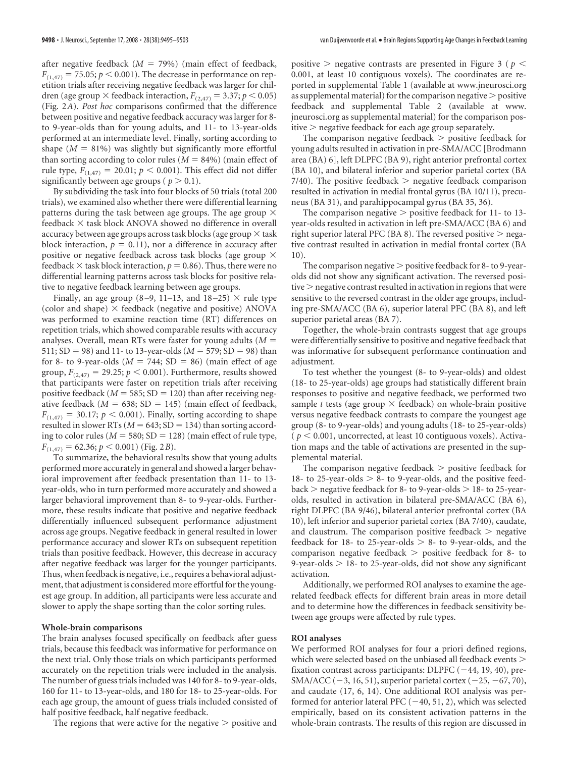after negative feedback  $(M = 79%)$  (main effect of feedback,  $F_{(1,47)} = 75.05; p \le 0.001$ ). The decrease in performance on repetition trials after receiving negative feedback was larger for children (age group  $\times$  feedback interaction,  $F_{(2,47)} = 3.37; p < 0.05$ ) (Fig. 2*A*). *Post hoc* comparisons confirmed that the difference between positive and negative feedback accuracy was larger for 8 to 9-year-olds than for young adults, and 11- to 13-year-olds performed at an intermediate level. Finally, sorting according to shape  $(M = 81\%)$  was slightly but significantly more effortful than sorting according to color rules  $(M = 84\%)$  (main effect of rule type,  $F_{(1,47)} = 20.01; p < 0.001$ ). This effect did not differ significantly between age groups ( $p > 0.1$ ).

By subdividing the task into four blocks of 50 trials (total 200 trials), we examined also whether there were differential learning patterns during the task between age groups. The age group  $\times$ feedback  $\times$  task block ANOVA showed no difference in overall accuracy between age groups across task blocks (age group  $\times$  task block interaction,  $p = 0.11$ ), nor a difference in accuracy after positive or negative feedback across task blocks (age group  $\times$ feedback  $\times$  task block interaction,  $p = 0.86$ ). Thus, there were no differential learning patterns across task blocks for positive relative to negative feedback learning between age groups.

Finally, an age group (8–9, 11–13, and 18–25)  $\times$  rule type (color and shape)  $\times$  feedback (negative and positive) ANOVA was performed to examine reaction time (RT) differences on repetition trials, which showed comparable results with accuracy analyses. Overall, mean RTs were faster for young adults (*M* 511; SD = 98) and 11- to 13-year-olds ( $M = 579$ ; SD = 98) than for 8- to 9-year-olds ( $M = 744$ ; SD = 86) (main effect of age group,  $F_{(2,47)} = 29.25; p \leq 0.001$ ). Furthermore, results showed that participants were faster on repetition trials after receiving positive feedback ( $M = 585$ ; SD = 120) than after receiving negative feedback ( $M = 638$ ; SD = 145) (main effect of feedback,  $F_{(1,47)} = 30.17; p < 0.001$ ). Finally, sorting according to shape resulted in slower RTs ( $M = 643$ ; SD = 134) than sorting according to color rules ( $M = 580$ ; SD = 128) (main effect of rule type,  $F_{(1,47)} = 62.36; p < 0.001$ ) (Fig. 2*B*).

To summarize, the behavioral results show that young adults performed more accurately in general and showed a larger behavioral improvement after feedback presentation than 11- to 13 year-olds, who in turn performed more accurately and showed a larger behavioral improvement than 8- to 9-year-olds. Furthermore, these results indicate that positive and negative feedback differentially influenced subsequent performance adjustment across age groups. Negative feedback in general resulted in lower performance accuracy and slower RTs on subsequent repetition trials than positive feedback. However, this decrease in accuracy after negative feedback was larger for the younger participants. Thus, when feedback is negative, i.e., requires a behavioral adjustment, that adjustment is considered more effortful for the youngest age group. In addition, all participants were less accurate and slower to apply the shape sorting than the color sorting rules.

### **Whole-brain comparisons**

The brain analyses focused specifically on feedback after guess trials, because this feedback was informative for performance on the next trial. Only those trials on which participants performed accurately on the repetition trials were included in the analysis. The number of guess trials included was 140 for 8- to 9-year-olds, 160 for 11- to 13-year-olds, and 180 for 18- to 25-year-olds. For each age group, the amount of guess trials included consisted of half positive feedback, half negative feedback.

The regions that were active for the negative  $>$  positive and

positive  $>$  negative contrasts are presented in Figure 3 (  $p<$ 0.001, at least 10 contiguous voxels). The coordinates are reported in supplemental Table 1 (available at www.jneurosci.org as supplemental material) for the comparison negative  $>$  positive feedback and supplemental Table 2 (available at www. jneurosci.org as supplemental material) for the comparison positive  $>$  negative feedback for each age group separately.

The comparison negative feedback  $>$  positive feedback for young adults resulted in activation in pre-SMA/ACC [Brodmann area (BA) 6], left DLPFC (BA 9), right anterior prefrontal cortex (BA 10), and bilateral inferior and superior parietal cortex (BA  $7/40$ ). The positive feedback  $>$  negative feedback comparison resulted in activation in medial frontal gyrus (BA 10/11), precuneus (BA 31), and parahippocampal gyrus (BA 35, 36).

The comparison negative  $>$  positive feedback for 11- to 13year-olds resulted in activation in left pre-SMA/ACC (BA 6) and right superior lateral PFC (BA 8). The reversed positive  $>$  negative contrast resulted in activation in medial frontal cortex (BA 10).

The comparison negative  $>$  positive feedback for 8- to 9-yearolds did not show any significant activation. The reversed positive  $\ge$  negative contrast resulted in activation in regions that were sensitive to the reversed contrast in the older age groups, including pre-SMA/ACC (BA 6), superior lateral PFC (BA 8), and left superior parietal areas (BA 7).

Together, the whole-brain contrasts suggest that age groups were differentially sensitive to positive and negative feedback that was informative for subsequent performance continuation and adjustment.

To test whether the youngest (8- to 9-year-olds) and oldest (18- to 25-year-olds) age groups had statistically different brain responses to positive and negative feedback, we performed two sample *t* tests (age group  $\times$  feedback) on whole-brain positive versus negative feedback contrasts to compare the youngest age group (8- to 9-year-olds) and young adults (18- to 25-year-olds)  $(p < 0.001$ , uncorrected, at least 10 contiguous voxels). Activation maps and the table of activations are presented in the supplemental material.

The comparison negative feedback  $>$  positive feedback for 18- to 25-year-olds  $> 8$ - to 9-year-olds, and the positive feedback  $>$  negative feedback for 8- to 9-year-olds  $>$  18- to 25-yearolds, resulted in activation in bilateral pre-SMA/ACC (BA 6), right DLPFC (BA 9/46), bilateral anterior prefrontal cortex (BA 10), left inferior and superior parietal cortex (BA 7/40), caudate, and claustrum. The comparison positive feedback  $>$  negative feedback for 18- to 25-year-olds  $> 8$ - to 9-year-olds, and the comparison negative feedback  $>$  positive feedback for 8- to 9-year-olds  $> 18$ - to 25-year-olds, did not show any significant activation.

Additionally, we performed ROI analyses to examine the agerelated feedback effects for different brain areas in more detail and to determine how the differences in feedback sensitivity between age groups were affected by rule types.

## **ROI analyses**

We performed ROI analyses for four a priori defined regions, which were selected based on the unbiased all feedback events  $\geq$ fixation contrast across participants: DLPFC  $(-44, 19, 40)$ , pre-SMA/ACC ( $-3$ , 16, 51), superior parietal cortex ( $-25$ ,  $-67$ , 70), and caudate (17, 6, 14). One additional ROI analysis was performed for anterior lateral PFC  $(-40, 51, 2)$ , which was selected empirically, based on its consistent activation patterns in the whole-brain contrasts. The results of this region are discussed in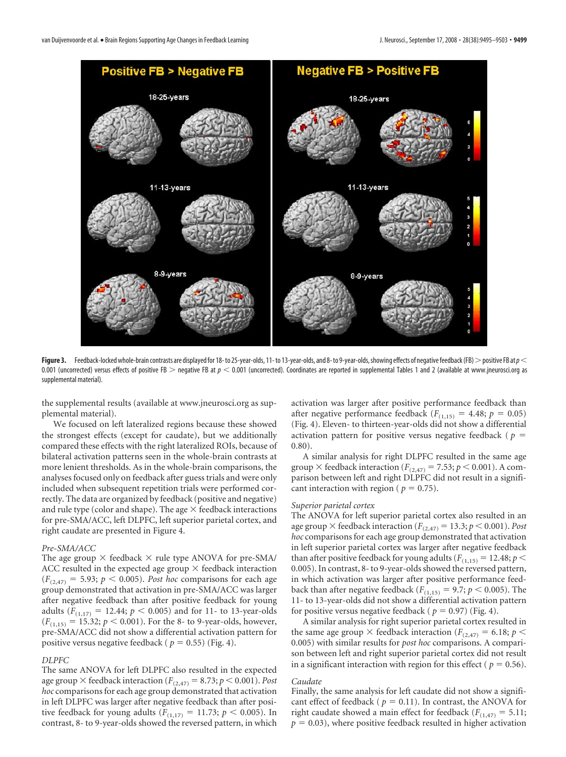

**Figure 3.** Feedback-locked whole-brain contrasts are displayed for 18- to 25-year-olds, 11- to 13-year-olds, and 8- to 9-year-olds, showing effects of negative feedback (FB)  $>$  positive FB at  $p$   $<$ 0.001 (uncorrected) versus effects of positive FB > negative FB at  $p < 0.001$  (uncorrected). Coordinates are reported in supplemental Tables 1 and 2 (available at www.jneurosci.org as supplemental material).

the supplemental results (available at www.jneurosci.org as supplemental material).

We focused on left lateralized regions because these showed the strongest effects (except for caudate), but we additionally compared these effects with the right lateralized ROIs, because of bilateral activation patterns seen in the whole-brain contrasts at more lenient thresholds. As in the whole-brain comparisons, the analyses focused only on feedback after guess trials and were only included when subsequent repetition trials were performed correctly. The data are organized by feedback (positive and negative) and rule type (color and shape). The age  $\times$  feedback interactions for pre-SMA/ACC, left DLPFC, left superior parietal cortex, and right caudate are presented in Figure 4.

## *Pre-SMA/ACC*

The age group  $\times$  feedback  $\times$  rule type ANOVA for pre-SMA/ ACC resulted in the expected age group  $\times$  feedback interaction  $(F_{(2,47)} = 5.93; p < 0.005)$ . *Post hoc* comparisons for each age group demonstrated that activation in pre-SMA/ACC was larger after negative feedback than after positive feedback for young adults  $(F_{(1,17)} = 12.44; p < 0.005)$  and for 11- to 13-year-olds  $(F_{(1,15)} = 15.32; p < 0.001)$ . For the 8- to 9-year-olds, however, pre-SMA/ACC did not show a differential activation pattern for positive versus negative feedback ( $p = 0.55$ ) (Fig. 4).

#### *DLPFC*

The same ANOVA for left DLPFC also resulted in the expected age group  $\times$  feedback interaction ( $F_{(2,47)} = 8.73; p < 0.001$ ). *Post hoc* comparisons for each age group demonstrated that activation in left DLPFC was larger after negative feedback than after positive feedback for young adults ( $F_{(1,17)} = 11.73; p < 0.005$ ). In contrast, 8- to 9-year-olds showed the reversed pattern, in which

activation was larger after positive performance feedback than after negative performance feedback  $(F_{(1,15)} = 4.48; p = 0.05)$ (Fig. 4). Eleven- to thirteen-year-olds did not show a differential activation pattern for positive versus negative feedback ( $p =$ 0.80).

A similar analysis for right DLPFC resulted in the same age group  $\times$  feedback interaction ( $F_{(2,47)} = 7.53; p \le 0.001$ ). A comparison between left and right DLPFC did not result in a significant interaction with region ( $p = 0.75$ ).

#### *Superior parietal cortex*

The ANOVA for left superior parietal cortex also resulted in an age group  $\times$  feedback interaction ( $F_{(2,47)} = 13.3; p < 0.001$ ). *Post hoc* comparisons for each age group demonstrated that activation in left superior parietal cortex was larger after negative feedback than after positive feedback for young adults ( $F_{(1,15)} = 12.48; p <$ 0.005). In contrast, 8- to 9-year-olds showed the reversed pattern, in which activation was larger after positive performance feedback than after negative feedback ( $F_{(1,15)} = 9.7; p < 0.005$ ). The 11- to 13-year-olds did not show a differential activation pattern for positive versus negative feedback ( $p = 0.97$ ) (Fig. 4).

A similar analysis for right superior parietal cortex resulted in the same age group  $\times$  feedback interaction ( $F_{(2,47)} = 6.18; p <$ 0.005) with similar results for *post hoc* comparisons. A comparison between left and right superior parietal cortex did not result in a significant interaction with region for this effect ( $p = 0.56$ ).

#### *Caudate*

Finally, the same analysis for left caudate did not show a significant effect of feedback ( $p = 0.11$ ). In contrast, the ANOVA for right caudate showed a main effect for feedback ( $F_{(1,47)} = 5.11$ ;  $p = 0.03$ , where positive feedback resulted in higher activation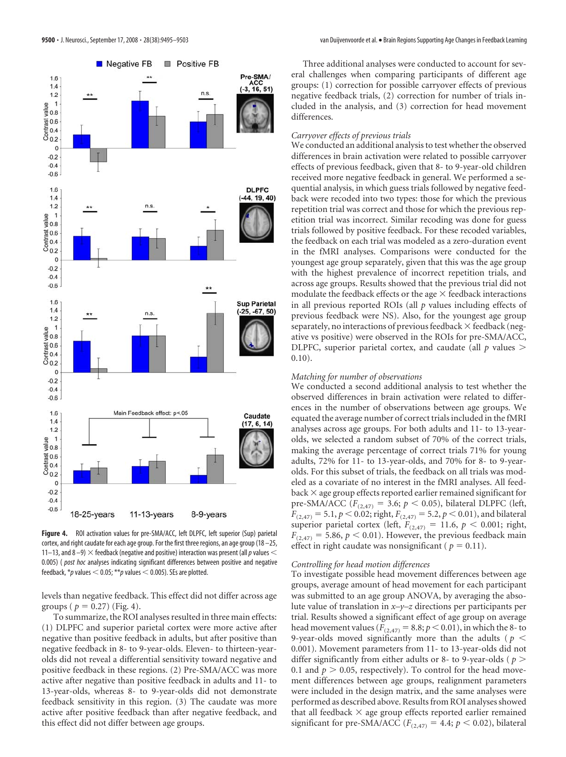

**Figure 4.** ROI activation values for pre-SMA/ACC, left DLPFC, left superior (Sup) parietal cortex, and right caudate for each age group. For the first three regions, an age group (18 –25, 11–13, and 8–9)  $\times$  feedback (negative and positive) interaction was present (all  $p$  values  $<$ 0.005) ( *post hoc* analyses indicating significant differences between positive and negative feedback,  $*$ *p* values  $<$  0.05;  $*$  $*$ *p* values  $<$  0.005). SEs are plotted.

levels than negative feedback. This effect did not differ across age groups ( $p = 0.27$ ) (Fig. 4).

To summarize, the ROI analyses resulted in three main effects: (1) DLPFC and superior parietal cortex were more active after negative than positive feedback in adults, but after positive than negative feedback in 8- to 9-year-olds. Eleven- to thirteen-yearolds did not reveal a differential sensitivity toward negative and positive feedback in these regions. (2) Pre-SMA/ACC was more active after negative than positive feedback in adults and 11- to 13-year-olds, whereas 8- to 9-year-olds did not demonstrate feedback sensitivity in this region. (3) The caudate was more active after positive feedback than after negative feedback, and this effect did not differ between age groups.

Three additional analyses were conducted to account for several challenges when comparing participants of different age groups: (1) correction for possible carryover effects of previous negative feedback trials, (2) correction for number of trials included in the analysis, and (3) correction for head movement differences.

## *Carryover effects of previous trials*

We conducted an additional analysis to test whether the observed differences in brain activation were related to possible carryover effects of previous feedback, given that 8- to 9-year-old children received more negative feedback in general. We performed a sequential analysis, in which guess trials followed by negative feedback were recoded into two types: those for which the previous repetition trial was correct and those for which the previous repetition trial was incorrect. Similar recoding was done for guess trials followed by positive feedback. For these recoded variables, the feedback on each trial was modeled as a zero-duration event in the fMRI analyses. Comparisons were conducted for the youngest age group separately, given that this was the age group with the highest prevalence of incorrect repetition trials, and across age groups. Results showed that the previous trial did not modulate the feedback effects or the age  $\times$  feedback interactions in all previous reported ROIs (all *p* values including effects of previous feedback were NS). Also, for the youngest age group separately, no interactions of previous feedback  $\times$  feedback (negative vs positive) were observed in the ROIs for pre-SMA/ACC, DLPFC, superior parietal cortex, and caudate (all *p* values 0.10).

## *Matching for number of observations*

We conducted a second additional analysis to test whether the observed differences in brain activation were related to differences in the number of observations between age groups. We equated the average number of correct trials included in the fMRI analyses across age groups. For both adults and 11- to 13-yearolds, we selected a random subset of 70% of the correct trials, making the average percentage of correct trials 71% for young adults, 72% for 11- to 13-year-olds, and 70% for 8- to 9-yearolds. For this subset of trials, the feedback on all trials was modeled as a covariate of no interest in the fMRI analyses. All feed $back \times$  age group effects reported earlier remained significant for pre-SMA/ACC ( $F_{(2,47)} = 3.6; p < 0.05$ ), bilateral DLPFC (left,  $F_{(2,47)} = 5.1, p < 0.02$ ; right,  $F_{(2,47)} = 5.2, p < 0.01$ ), and bilateral superior parietal cortex (left,  $F_{(2,47)} = 11.6$ ,  $p < 0.001$ ; right,  $F_{(2,47)} = 5.86, p \le 0.01$ ). However, the previous feedback main effect in right caudate was nonsignificant ( $p = 0.11$ ).

#### *Controlling for head motion differences*

To investigate possible head movement differences between age groups, average amount of head movement for each participant was submitted to an age group ANOVA, by averaging the absolute value of translation in *x–y–z* directions per participants per trial. Results showed a significant effect of age group on average head movement values ( $F_{(2,47)} = 8.8; p < 0.01$ ), in which the 8- to 9-year-olds moved significantly more than the adults ( $p <$ 0.001). Movement parameters from 11- to 13-year-olds did not differ significantly from either adults or 8- to 9-year-olds ( *p* 0.1 and  $p > 0.05$ , respectively). To control for the head movement differences between age groups, realignment parameters were included in the design matrix, and the same analyses were performed as described above. Results from ROI analyses showed that all feedback  $\times$  age group effects reported earlier remained significant for pre-SMA/ACC ( $F_{(2,47)} = 4.4$ ;  $p < 0.02$ ), bilateral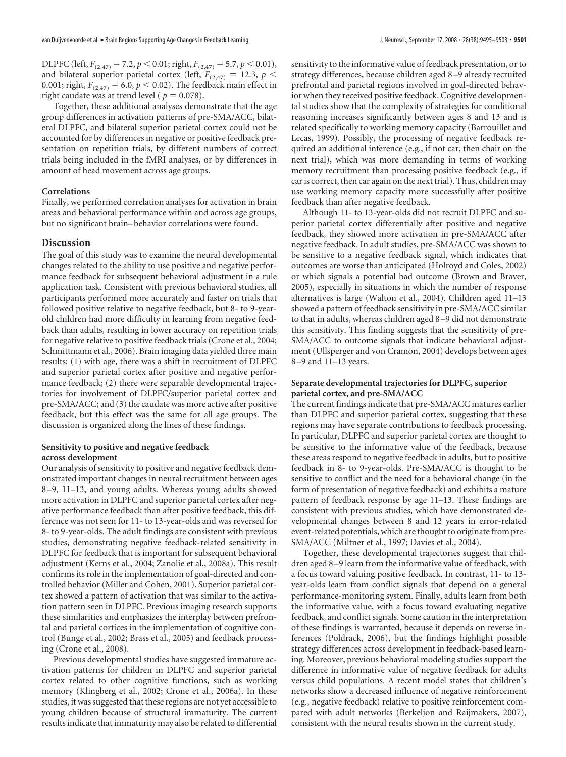DLPFC (left,  $F_{(2,47)} = 7.2$ ,  $p < 0.01$ ; right,  $F_{(2,47)} = 5.7$ ,  $p < 0.01$ ), and bilateral superior parietal cortex (left,  $F_{(2,47)} = 12.3$ ,  $p <$ 0.001; right,  $F_{(2,47)} = 6.0, p < 0.02$ ). The feedback main effect in right caudate was at trend level ( $p = 0.078$ ).

Together, these additional analyses demonstrate that the age group differences in activation patterns of pre-SMA/ACC, bilateral DLPFC, and bilateral superior parietal cortex could not be accounted for by differences in negative or positive feedback presentation on repetition trials, by different numbers of correct trials being included in the fMRI analyses, or by differences in amount of head movement across age groups.

### **Correlations**

Finally, we performed correlation analyses for activation in brain areas and behavioral performance within and across age groups, but no significant brain– behavior correlations were found.

# **Discussion**

The goal of this study was to examine the neural developmental changes related to the ability to use positive and negative performance feedback for subsequent behavioral adjustment in a rule application task. Consistent with previous behavioral studies, all participants performed more accurately and faster on trials that followed positive relative to negative feedback, but 8- to 9-yearold children had more difficulty in learning from negative feedback than adults, resulting in lower accuracy on repetition trials for negative relative to positive feedback trials (Crone et al., 2004; Schmittmann et al., 2006). Brain imaging data yielded three main results: (1) with age, there was a shift in recruitment of DLPFC and superior parietal cortex after positive and negative performance feedback; (2) there were separable developmental trajectories for involvement of DLPFC/superior parietal cortex and pre-SMA/ACC; and (3) the caudate was more active after positive feedback, but this effect was the same for all age groups. The discussion is organized along the lines of these findings.

# **Sensitivity to positive and negative feedback across development**

Our analysis of sensitivity to positive and negative feedback demonstrated important changes in neural recruitment between ages 8 –9, 11–13, and young adults. Whereas young adults showed more activation in DLPFC and superior parietal cortex after negative performance feedback than after positive feedback, this difference was not seen for 11- to 13-year-olds and was reversed for 8- to 9-year-olds. The adult findings are consistent with previous studies, demonstrating negative feedback-related sensitivity in DLPFC for feedback that is important for subsequent behavioral adjustment (Kerns et al., 2004; Zanolie et al., 2008a). This result confirms its role in the implementation of goal-directed and controlled behavior (Miller and Cohen, 2001). Superior parietal cortex showed a pattern of activation that was similar to the activation pattern seen in DLPFC. Previous imaging research supports these similarities and emphasizes the interplay between prefrontal and parietal cortices in the implementation of cognitive control (Bunge et al., 2002; Brass et al., 2005) and feedback processing (Crone et al., 2008).

Previous developmental studies have suggested immature activation patterns for children in DLPFC and superior parietal cortex related to other cognitive functions, such as working memory (Klingberg et al., 2002; Crone et al., 2006a). In these studies, it was suggested that these regions are not yet accessible to young children because of structural immaturity. The current results indicate that immaturity may also be related to differential

sensitivity to the informative value of feedback presentation, or to strategy differences, because children aged 8 –9 already recruited prefrontal and parietal regions involved in goal-directed behavior when they received positive feedback. Cognitive developmental studies show that the complexity of strategies for conditional reasoning increases significantly between ages 8 and 13 and is related specifically to working memory capacity (Barrouillet and Lecas, 1999). Possibly, the processing of negative feedback required an additional inference (e.g., if not car, then chair on the next trial), which was more demanding in terms of working memory recruitment than processing positive feedback (e.g., if car is correct, then car again on the next trial). Thus, children may use working memory capacity more successfully after positive feedback than after negative feedback.

Although 11- to 13-year-olds did not recruit DLPFC and superior parietal cortex differentially after positive and negative feedback, they showed more activation in pre-SMA/ACC after negative feedback. In adult studies, pre-SMA/ACC was shown to be sensitive to a negative feedback signal, which indicates that outcomes are worse than anticipated (Holroyd and Coles, 2002) or which signals a potential bad outcome (Brown and Braver, 2005), especially in situations in which the number of response alternatives is large (Walton et al., 2004). Children aged 11–13 showed a pattern of feedback sensitivity in pre-SMA/ACC similar to that in adults, whereas children aged 8 –9 did not demonstrate this sensitivity. This finding suggests that the sensitivity of pre-SMA/ACC to outcome signals that indicate behavioral adjustment (Ullsperger and von Cramon, 2004) develops between ages 8 –9 and 11–13 years.

## **Separate developmental trajectories for DLPFC, superior parietal cortex, and pre-SMA/ACC**

The current findings indicate that pre-SMA/ACC matures earlier than DLPFC and superior parietal cortex, suggesting that these regions may have separate contributions to feedback processing. In particular, DLPFC and superior parietal cortex are thought to be sensitive to the informative value of the feedback, because these areas respond to negative feedback in adults, but to positive feedback in 8- to 9-year-olds. Pre-SMA/ACC is thought to be sensitive to conflict and the need for a behavioral change (in the form of presentation of negative feedback) and exhibits a mature pattern of feedback response by age 11–13. These findings are consistent with previous studies, which have demonstrated developmental changes between 8 and 12 years in error-related event-related potentials, which are thought to originate from pre-SMA/ACC (Miltner et al., 1997; Davies et al., 2004).

Together, these developmental trajectories suggest that children aged 8 –9 learn from the informative value of feedback, with a focus toward valuing positive feedback. In contrast, 11- to 13 year-olds learn from conflict signals that depend on a general performance-monitoring system. Finally, adults learn from both the informative value, with a focus toward evaluating negative feedback, and conflict signals. Some caution in the interpretation of these findings is warranted, because it depends on reverse inferences (Poldrack, 2006), but the findings highlight possible strategy differences across development in feedback-based learning. Moreover, previous behavioral modeling studies support the difference in informative value of negative feedback for adults versus child populations. A recent model states that children's networks show a decreased influence of negative reinforcement (e.g., negative feedback) relative to positive reinforcement compared with adult networks (Berkeljon and Raijmakers, 2007), consistent with the neural results shown in the current study.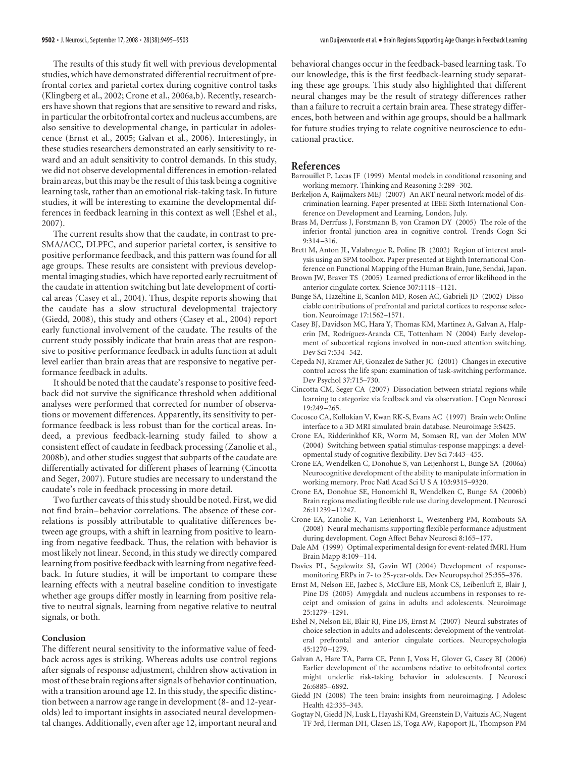The results of this study fit well with previous developmental studies, which have demonstrated differential recruitment of prefrontal cortex and parietal cortex during cognitive control tasks (Klingberg et al., 2002; Crone et al., 2006a,b). Recently, researchers have shown that regions that are sensitive to reward and risks, in particular the orbitofrontal cortex and nucleus accumbens, are also sensitive to developmental change, in particular in adolescence (Ernst et al., 2005; Galvan et al., 2006). Interestingly, in these studies researchers demonstrated an early sensitivity to reward and an adult sensitivity to control demands. In this study, we did not observe developmental differences in emotion-related brain areas, but this may be the result of this task being a cognitive learning task, rather than an emotional risk-taking task. In future studies, it will be interesting to examine the developmental differences in feedback learning in this context as well (Eshel et al., 2007).

The current results show that the caudate, in contrast to pre-SMA/ACC, DLPFC, and superior parietal cortex, is sensitive to positive performance feedback, and this pattern was found for all age groups. These results are consistent with previous developmental imaging studies, which have reported early recruitment of the caudate in attention switching but late development of cortical areas (Casey et al., 2004). Thus, despite reports showing that the caudate has a slow structural developmental trajectory (Giedd, 2008), this study and others (Casey et al., 2004) report early functional involvement of the caudate. The results of the current study possibly indicate that brain areas that are responsive to positive performance feedback in adults function at adult level earlier than brain areas that are responsive to negative performance feedback in adults.

It should be noted that the caudate's response to positive feedback did not survive the significance threshold when additional analyses were performed that corrected for number of observations or movement differences. Apparently, its sensitivity to performance feedback is less robust than for the cortical areas. Indeed, a previous feedback-learning study failed to show a consistent effect of caudate in feedback processing (Zanolie et al., 2008b), and other studies suggest that subparts of the caudate are differentially activated for different phases of learning (Cincotta and Seger, 2007). Future studies are necessary to understand the caudate's role in feedback processing in more detail.

Two further caveats of this study should be noted. First, we did not find brain– behavior correlations. The absence of these correlations is possibly attributable to qualitative differences between age groups, with a shift in learning from positive to learning from negative feedback. Thus, the relation with behavior is most likely not linear. Second, in this study we directly compared learning from positive feedback with learning from negative feedback. In future studies, it will be important to compare these learning effects with a neutral baseline condition to investigate whether age groups differ mostly in learning from positive relative to neutral signals, learning from negative relative to neutral signals, or both.

#### **Conclusion**

The different neural sensitivity to the informative value of feedback across ages is striking. Whereas adults use control regions after signals of response adjustment, children show activation in most of these brain regions after signals of behavior continuation, with a transition around age 12. In this study, the specific distinction between a narrow age range in development (8- and 12-yearolds) led to important insights in associated neural developmental changes. Additionally, even after age 12, important neural and

behavioral changes occur in the feedback-based learning task. To our knowledge, this is the first feedback-learning study separating these age groups. This study also highlighted that different neural changes may be the result of strategy differences rather than a failure to recruit a certain brain area. These strategy differences, both between and within age groups, should be a hallmark for future studies trying to relate cognitive neuroscience to educational practice.

## **References**

- Barrouillet P, Lecas JF (1999) Mental models in conditional reasoning and working memory. Thinking and Reasoning 5:289 –302.
- Berkeljon A, Raijmakers MEJ (2007) An ART neural network model of discrimination learning. Paper presented at IEEE Sixth International Conference on Development and Learning, London, July.
- Brass M, Derrfuss J, Forstmann B, von Cramon DY (2005) The role of the inferior frontal junction area in cognitive control. Trends Cogn Sci 9:314 –316.
- Brett M, Anton JL, Valabregue R, Poline JB (2002) Region of interest analysis using an SPM toolbox. Paper presented at Eighth International Conference on Functional Mapping of the Human Brain, June, Sendai, Japan.
- Brown JW, Braver TS (2005) Learned predictions of error likelihood in the anterior cingulate cortex. Science 307:1118 –1121.
- Bunge SA, Hazeltine E, Scanlon MD, Rosen AC, Gabrieli JD (2002) Dissociable contributions of prefrontal and parietal cortices to response selection. Neuroimage 17:1562–1571.
- Casey BJ, Davidson MC, Hara Y, Thomas KM, Martinez A, Galvan A, Halperin JM, Rodríguez-Aranda CE, Tottenham N (2004) Early development of subcortical regions involved in non-cued attention switching. Dev Sci 7:534 –542.
- Cepeda NJ, Kramer AF, Gonzalez de Sather JC (2001) Changes in executive control across the life span: examination of task-switching performance. Dev Psychol 37:715–730.
- Cincotta CM, Seger CA (2007) Dissociation between striatal regions while learning to categorize via feedback and via observation. J Cogn Neurosci 19:249 –265.
- Cocosco CA, Kollokian V, Kwan RK-S, Evans AC (1997) Brain web: Online interface to a 3D MRI simulated brain database. Neuroimage 5:S425.
- Crone EA, Ridderinkhof KR, Worm M, Somsen RJ, van der Molen MW (2004) Switching between spatial stimulus-response mappings: a developmental study of cognitive flexibility. Dev Sci 7:443–455.
- Crone EA, Wendelken C, Donohue S, van Leijenhorst L, Bunge SA (2006a) Neurocognitive development of the ability to manipulate information in working memory. Proc Natl Acad Sci U S A 103:9315–9320.
- Crone EA, Donohue SE, Honomichl R, Wendelken C, Bunge SA (2006b) Brain regions mediating flexible rule use during development. J Neurosci 26:11239 –11247.
- Crone EA, Zanolie K, Van Leijenhorst L, Westenberg PM, Rombouts SA (2008) Neural mechanisms supporting flexible performance adjustment during development. Cogn Affect Behav Neurosci 8:165–177.
- Dale AM (1999) Optimal experimental design for event-related fMRI. Hum Brain Mapp 8:109 –114.
- Davies PL, Segalowitz SJ, Gavin WJ (2004) Development of responsemonitoring ERPs in 7- to 25-year-olds. Dev Neuropsychol 25:355–376.
- Ernst M, Nelson EE, Jazbec S, McClure EB, Monk CS, Leibenluft E, Blair J, Pine DS (2005) Amygdala and nucleus accumbens in responses to receipt and omission of gains in adults and adolescents. Neuroimage 25:1279 –1291.
- Eshel N, Nelson EE, Blair RJ, Pine DS, Ernst M (2007) Neural substrates of choice selection in adults and adolescents: development of the ventrolateral prefrontal and anterior cingulate cortices. Neuropsychologia 45:1270 –1279.
- Galvan A, Hare TA, Parra CE, Penn J, Voss H, Glover G, Casey BJ (2006) Earlier development of the accumbens relative to orbitofrontal cortex might underlie risk-taking behavior in adolescents. J Neurosci 26:6885–6892.
- Giedd JN (2008) The teen brain: insights from neuroimaging. J Adolesc Health 42:335–343.
- Gogtay N, Giedd JN, Lusk L, Hayashi KM, Greenstein D, Vaituzis AC, Nugent TF 3rd, Herman DH, Clasen LS, Toga AW, Rapoport JL, Thompson PM